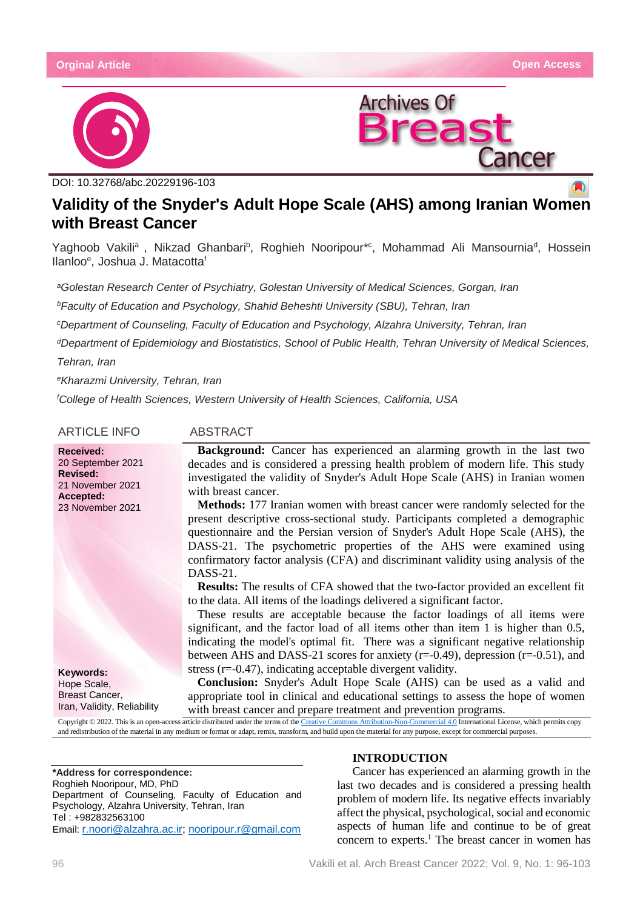



DOI: [10.32768/abc.20229196-103](http://dx.doi.org/10.32768/abc.202184267-276)

# **Validity of the Snyder's Adult Hope Scale (AHS) among Iranian Women with Breast Cancer**

Yaghoob Vakili<sup>a</sup>, Nikzad Ghanbari<sup>b</sup>, Roghieh Nooripour\*<sup>c</sup>, Mohammad Ali Mansournia<sup>d</sup>, Hossein Ilanlooe , Joshua J. Matacottaf

*aGolestan Research Center of Psychiatry, Golestan University of Medical Sciences, Gorgan, Iran*

*bFaculty of Education and Psychology, Shahid Beheshti University (SBU), Tehran, Iran*

*cDepartment of Counseling, Faculty of Education and Psychology, Alzahra University, Tehran, Iran*

*dDepartment of Epidemiology and Biostatistics, School of Public Health, Tehran University of Medical Sciences, Tehran, Iran*

*eKharazmi University, Tehran, Iran* 

*f College of Health Sciences, Western University of Health Sciences, California, USA*

ARTICLE INFO ABSTRACT

20 September 2021

21 November 2021 **Accepted:** 23 November 2021

**Received:**

**Revised:**

**Keywords:** Hope Scale, Breast Cancer, Iran, Validity, Reliability

**Background:** Cancer has experienced an alarming growth in the last two decades and is considered a pressing health problem of modern life. This study investigated the validity of Snyder's Adult Hope Scale (AHS) in Iranian women with breast cancer.

**Methods:** 177 Iranian women with breast cancer were randomly selected for the present descriptive cross-sectional study. Participants completed a demographic questionnaire and the Persian version of Snyder's Adult Hope Scale (AHS), the DASS-21. The psychometric properties of the AHS were examined using confirmatory factor analysis (CFA) and discriminant validity using analysis of the DASS-21.

**Results:** The results of CFA showed that the two-factor provided an excellent fit to the data. All items of the loadings delivered a significant factor.

These results are acceptable because the factor loadings of all items were significant, and the factor load of all items other than item 1 is higher than 0.5, indicating the model's optimal fit. There was a significant negative relationship between AHS and DASS-21 scores for anxiety (r=-0.49), depression (r=-0.51), and stress (r=-0.47), indicating acceptable divergent validity.

**Conclusion:** Snyder's Adult Hope Scale (AHS) can be used as a valid and appropriate tool in clinical and educational settings to assess the hope of women with breast cancer and prepare treatment and prevention programs.

Copyright © 2022. This is an open-access article distributed under the terms of th[e Creative Commons Attribution-Non-Commercial 4.0](https://creativecommons.org/licenses/by-nc/4.0/) International License, which permits copy and redistribution of the material in any medium or format or adapt, remix, transform, and build upon the material for any purpose, except for commercial purposes.

#### **\*Address for correspondence:**

Roghieh Nooripour, MD, PhD Department of Counseling, Faculty of Education and Psychology, Alzahra University, Tehran, Iran Tel : +982832563100 Email: [r.noori@alzahra.ac.ir;](mailto:r.noori@alzahra.ac.ir) [nooripour.r@gmail.com](mailto:nooripour.r@gmail.com)

### **INTRODUCTION**

Cancer has experienced an alarming growth in the last two decades and is considered a pressing health problem of modern life. Its negative effects invariably affect the physical, psychological, social and economic aspects of human life and continue to be of great concern to experts.<sup>1</sup> The breast cancer in women has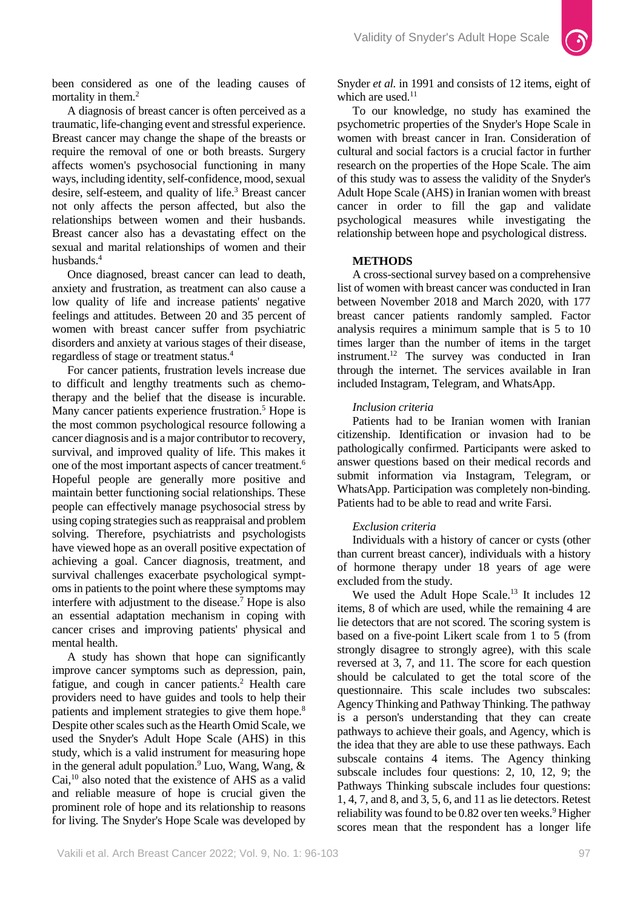

been considered as one of the leading causes of mortality in them.<sup>2</sup>

A diagnosis of breast cancer is often perceived as a traumatic, life-changing event and stressful experience. Breast cancer may change the shape of the breasts or require the removal of one or both breasts. Surgery affects women's psychosocial functioning in many ways, including identity, self-confidence, mood, sexual desire, self-esteem, and quality of life.<sup>3</sup> Breast cancer not only affects the person affected, but also the relationships between women and their husbands. Breast cancer also has a devastating effect on the sexual and marital relationships of women and their husbands.<sup>4</sup>

Once diagnosed, breast cancer can lead to death, anxiety and frustration, as treatment can also cause a low quality of life and increase patients' negative feelings and attitudes. Between 20 and 35 percent of women with breast cancer suffer from psychiatric disorders and anxiety at various stages of their disease, regardless of stage or treatment status.4

For cancer patients, frustration levels increase due to difficult and lengthy treatments such as chemotherapy and the belief that the disease is incurable. Many cancer patients experience frustration.<sup>5</sup> Hope is the most common psychological resource following a cancer diagnosis and is a major contributor to recovery, survival, and improved quality of life. This makes it one of the most important aspects of cancer treatment.<sup>6</sup> Hopeful people are generally more positive and maintain better functioning social relationships. These people can effectively manage psychosocial stress by using coping strategies such as reappraisal and problem solving. Therefore, psychiatrists and psychologists have viewed hope as an overall positive expectation of achieving a goal. Cancer diagnosis, treatment, and survival challenges exacerbate psychological symptoms in patients to the point where these symptoms may interfere with adjustment to the disease.<sup>7</sup> Hope is also an essential adaptation mechanism in coping with cancer crises and improving patients' physical and mental health.

A study has shown that hope can significantly improve cancer symptoms such as depression, pain, fatigue, and cough in cancer patients.<sup>2</sup> Health care providers need to have guides and tools to help their patients and implement strategies to give them hope.<sup>8</sup> Despite other scales such as the Hearth Omid Scale, we used the Snyder's Adult Hope Scale (AHS) in this study, which is a valid instrument for measuring hope in the general adult population.<sup>9</sup> Luo, Wang, Wang, & Cai, <sup>10</sup> also noted that the existence of AHS as a valid and reliable measure of hope is crucial given the prominent role of hope and its relationship to reasons for living. The Snyder's Hope Scale was developed by

Snyder *et al.* in 1991 and consists of 12 items, eight of which are used.<sup>11</sup>

To our knowledge, no study has examined the psychometric properties of the Snyder's Hope Scale in women with breast cancer in Iran. Consideration of cultural and social factors is a crucial factor in further research on the properties of the Hope Scale. The aim of this study was to assess the validity of the Snyder's Adult Hope Scale (AHS) in Iranian women with breast cancer in order to fill the gap and validate psychological measures while investigating the relationship between hope and psychological distress.

### **METHODS**

A cross-sectional survey based on a comprehensive list of women with breast cancer was conducted in Iran between November 2018 and March 2020, with 177 breast cancer patients randomly sampled. Factor analysis requires a minimum sample that is 5 to 10 times larger than the number of items in the target instrument.12 The survey was conducted in Iran through the internet. The services available in Iran included Instagram, Telegram, and WhatsApp.

### *Inclusion criteria*

Patients had to be Iranian women with Iranian citizenship. Identification or invasion had to be pathologically confirmed. Participants were asked to answer questions based on their medical records and submit information via Instagram, Telegram, or WhatsApp. Participation was completely non-binding. Patients had to be able to read and write Farsi.

# *Exclusion criteria*

Individuals with a history of cancer or cysts (other than current breast cancer), individuals with a history of hormone therapy under 18 years of age were excluded from the study.

We used the Adult Hope Scale.<sup>13</sup> It includes 12 items, 8 of which are used, while the remaining 4 are lie detectors that are not scored. The scoring system is based on a five-point Likert scale from 1 to 5 (from strongly disagree to strongly agree), with this scale reversed at 3, 7, and 11. The score for each question should be calculated to get the total score of the questionnaire. This scale includes two subscales: Agency Thinking and Pathway Thinking. The pathway is a person's understanding that they can create pathways to achieve their goals, and Agency, which is the idea that they are able to use these pathways. Each subscale contains 4 items. The Agency thinking subscale includes four questions: 2, 10, 12, 9; the Pathways Thinking subscale includes four questions: 1, 4, 7, and 8, and 3, 5, 6, and 11 as lie detectors. Retest reliability was found to be 0.82 over ten weeks.<sup>9</sup> Higher scores mean that the respondent has a longer life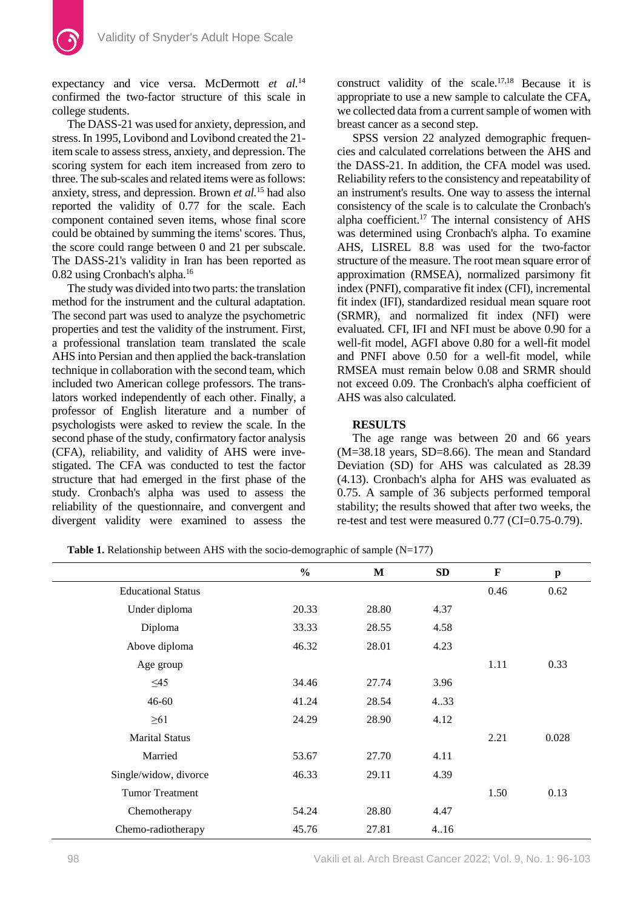expectancy and vice versa. McDermott *et al.*<sup>14</sup> confirmed the two-factor structure of this scale in college students.

The DASS-21 was used for anxiety, depression, and stress. In 1995, Lovibond and Lovibond created the 21 item scale to assess stress, anxiety, and depression. The scoring system for each item increased from zero to three. The sub-scales and related items were as follows: anxiety, stress, and depression. Brown *et al.*<sup>15</sup> had also reported the validity of 0.77 for the scale. Each component contained seven items, whose final score could be obtained by summing the items' scores. Thus, the score could range between 0 and 21 per subscale. The DASS-21's validity in Iran has been reported as 0.82 using Cronbach's alpha.16

The study was divided into two parts: the translation method for the instrument and the cultural adaptation. The second part was used to analyze the psychometric properties and test the validity of the instrument. First, a professional translation team translated the scale AHS into Persian and then applied the back-translation technique in collaboration with the second team, which included two American college professors. The translators worked independently of each other. Finally, a professor of English literature and a number of psychologists were asked to review the scale. In the second phase of the study, confirmatory factor analysis (CFA), reliability, and validity of AHS were investigated. The CFA was conducted to test the factor structure that had emerged in the first phase of the study. Cronbach's alpha was used to assess the reliability of the questionnaire, and convergent and divergent validity were examined to assess the construct validity of the scale.17,18 Because it is appropriate to use a new sample to calculate the CFA, we collected data from a current sample of women with breast cancer as a second step.

SPSS version 22 analyzed demographic frequencies and calculated correlations between the AHS and the DASS-21. In addition, the CFA model was used. Reliability refers to the consistency and repeatability of an instrument's results. One way to assess the internal consistency of the scale is to calculate the Cronbach's alpha coefficient. $17$  The internal consistency of AHS was determined using Cronbach's alpha. To examine AHS, LISREL 8.8 was used for the two-factor structure of the measure. The root mean square error of approximation (RMSEA), normalized parsimony fit index (PNFI), comparative fit index (CFI), incremental fit index (IFI), standardized residual mean square root (SRMR), and normalized fit index (NFI) were evaluated. CFI, IFI and NFI must be above 0.90 for a well-fit model, AGFI above 0.80 for a well-fit model and PNFI above 0.50 for a well-fit model, while RMSEA must remain below 0.08 and SRMR should not exceed 0.09. The Cronbach's alpha coefficient of AHS was also calculated.

#### **RESULTS**

The age range was between 20 and 66 years (M=38.18 years, SD=8.66). The mean and Standard Deviation (SD) for AHS was calculated as 28.39 (4.13). Cronbach's alpha for AHS was evaluated as 0.75. A sample of 36 subjects performed temporal stability; the results showed that after two weeks, the re-test and test were measured 0.77 (CI=0.75-0.79).

**Table 1.** Relationship between AHS with the socio-demographic of sample  $(N=177)$ 

|                           | $\frac{0}{0}$ | $\mathbf M$ | <b>SD</b> | $\mathbf F$ | $\boldsymbol{\mathrm{p}}$ |
|---------------------------|---------------|-------------|-----------|-------------|---------------------------|
| <b>Educational Status</b> |               |             |           | 0.46        | 0.62                      |
| Under diploma             | 20.33         | 28.80       | 4.37      |             |                           |
| Diploma                   | 33.33         | 28.55       | 4.58      |             |                           |
| Above diploma             | 46.32         | 28.01       | 4.23      |             |                           |
| Age group                 |               |             |           | 1.11        | 0.33                      |
| $\leq$ 45                 | 34.46         | 27.74       | 3.96      |             |                           |
| $46 - 60$                 | 41.24         | 28.54       | 4.33      |             |                           |
| $\geq 61$                 | 24.29         | 28.90       | 4.12      |             |                           |
| <b>Marital Status</b>     |               |             |           | 2.21        | 0.028                     |
| Married                   | 53.67         | 27.70       | 4.11      |             |                           |
| Single/widow, divorce     | 46.33         | 29.11       | 4.39      |             |                           |
| <b>Tumor Treatment</b>    |               |             |           | 1.50        | 0.13                      |
| Chemotherapy              | 54.24         | 28.80       | 4.47      |             |                           |
| Chemo-radiotherapy        | 45.76         | 27.81       | 4.16      |             |                           |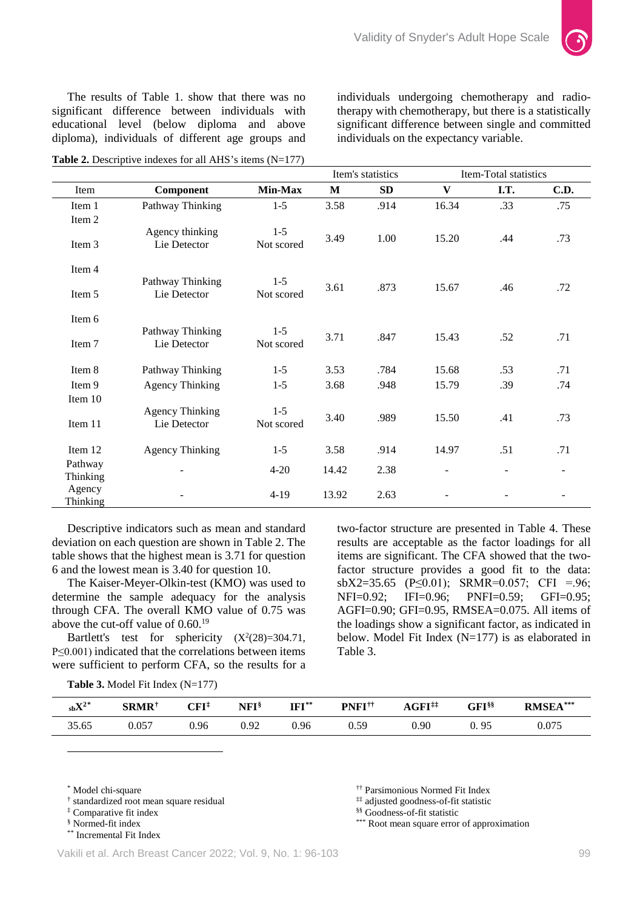individuals on the expectancy variable.

individuals undergoing chemotherapy and radiotherapy with chemotherapy, but there is a statistically significant difference between single and committed



The results of Table 1. show that there was no significant difference between individuals with educational level (below diploma and above diploma), individuals of different age groups and

**Table 2.** Descriptive indexes for all AHS's items (N=177)

Item's statistics Item-Total statistics Item **Component Min-Max M SD V I.T. C.D.** Item 1 Pathway Thinking 1-5 3.58 .914 16.34 .33 .75 Item 2 Item 3 Agency thinking Lie Detector  $1-5$ <br>Not scored Not scored 3.49 1.00 15.20 .44 .73 Item 4 Item 5 Pathway Thinking Lie Detector 1-5 Not scored 3.61 .873 15.67 .46 .72 Item 6 Item 7 Pathway Thinking Lie Detector 1-5 Not scored 3.71 .847 15.43 .52 .71 Item 8 Pathway Thinking 1-5 3.53 .784 15.68 .53 .71 Item 9 Agency Thinking 1-5 3.68 .948 15.79 .39 .74 Item 10 Item 11 Agency Thinking Lie Detector 1-5 Not scored 3.40 .989 15.50 .41 .73 Item 12 Agency Thinking 1-5 3.58 .914 14.97 .51 .71 Pathway Thinking - 4-20 14.42 2.38 - - - Agency Thinking - 4-19 13.92 2.63 - - -

Descriptive indicators such as mean and standard deviation on each question are shown in Table 2. The table shows that the highest mean is 3.71 for question 6 and the lowest mean is 3.40 for question 10.

The Kaiser-Meyer-Olkin-test (KMO) was used to determine the sample adequacy for the analysis through CFA. The overall KMO value of 0.75 was above the cut-off value of  $0.60^{19}$ 

Bartlett's test for sphericity  $(X^2(28)=304.71)$ , P≤0.001) indicated that the correlations between items were sufficient to perform CFA, so the results for a two-factor structure are presented in Table 4. These results are acceptable as the factor loadings for all items are significant. The CFA showed that the twofactor structure provides a good fit to the data: sbX2=35.65 (P $\leq$ 0.01); SRMR=0.057; CFI =.96; NFI=0.92; IFI=0.96; PNFI=0.59; GFI=0.95; AGFI=0.90; GFI=0.95, RMSEA=0.075. All items of the loadings show a significant factor, as indicated in below. Model Fit Index (N=177) is as elaborated in Table 3.

**Table 3.** Model Fit Index (N=177)

| $_{\rm sb} \rm X^{2 \,{}^{*}}$ | <b>SRMR†</b> | ${\rm CFI^{\ddagger}}$ | NFI§ | $IFI^*$ | PNFI <sup>††</sup> | $AGFI$ <sup>**</sup> | ${\bf GFI}$ §§ | RMSEA <sup>***</sup> |
|--------------------------------|--------------|------------------------|------|---------|--------------------|----------------------|----------------|----------------------|
| 35.65                          | 0.057        | 0.96                   | 0.92 | 0.96    | U.S                | 0.90                 | 0.95           | 0.075                |

<span id="page-3-0"></span>\* Model chi-square

 $\ddot{\phantom{a}}$ 

†† Parsimonious Normed Fit Index

‡‡ adjusted goodness-of-fit statistic

§§ Goodness-of-fit statistic

\*\*\* Root mean square error of approximation

<span id="page-3-1"></span><sup>†</sup> standardized root mean square residual

<span id="page-3-2"></span><sup>‡</sup> Comparative fit index

<span id="page-3-3"></span><sup>§</sup> Normed-fit index

<span id="page-3-4"></span><sup>\*\*</sup> Incremental Fit Index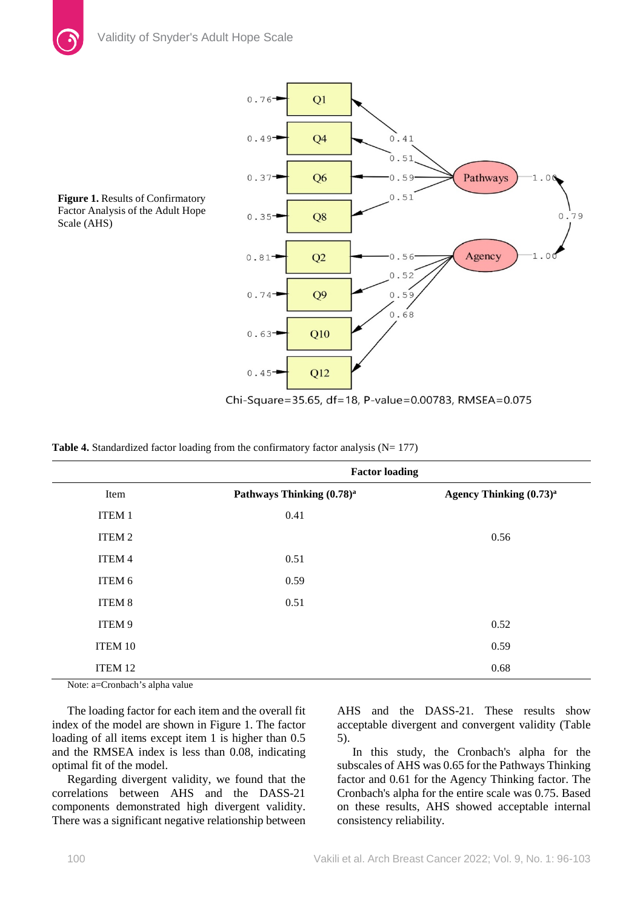

**Figure 1.** Results of Confirmatory Factor Analysis of the Adult Hope Scale (AHS)

Chi-Square=35.65, df=18, P-value=0.00783, RMSEA=0.075

| Table 4. Standardized factor loading from the confirmatory factor analysis $(N=177)$ |  |  |  |
|--------------------------------------------------------------------------------------|--|--|--|
|--------------------------------------------------------------------------------------|--|--|--|

|              | <b>Factor loading</b>                 |                                     |  |  |  |
|--------------|---------------------------------------|-------------------------------------|--|--|--|
| Item         | Pathways Thinking (0.78) <sup>a</sup> | Agency Thinking (0.73) <sup>a</sup> |  |  |  |
| <b>ITEM1</b> | 0.41                                  |                                     |  |  |  |
| ITEM 2       |                                       | 0.56                                |  |  |  |
| ITEM 4       | 0.51                                  |                                     |  |  |  |
| ITEM 6       | 0.59                                  |                                     |  |  |  |
| ITEM 8       | 0.51                                  |                                     |  |  |  |
| ITEM 9       |                                       | 0.52                                |  |  |  |
| ITEM 10      |                                       | 0.59                                |  |  |  |
| ITEM 12      |                                       | 0.68                                |  |  |  |

Note: a=Cronbach's alpha value

The loading factor for each item and the overall fit index of the model are shown in Figure 1. The factor loading of all items except item 1 is higher than  $0.5$ and the RMSEA index is less than 0.08, indicating optimal fit of the model.

Regarding divergent validity, we found that the correlations between AHS and the DASS-21 components demonstrated high divergent validity. There was a significant negative relationship between AHS and the DASS-21. These results show acceptable divergent and convergent validity (Table 5).

In this study, the Cronbach's alpha for the subscales of AHS was 0.65 for the Pathways Thinking factor and 0.61 for the Agency Thinking factor. The Cronbach's alpha for the entire scale was 0.75. Based on these results, AHS showed acceptable internal consistency reliability.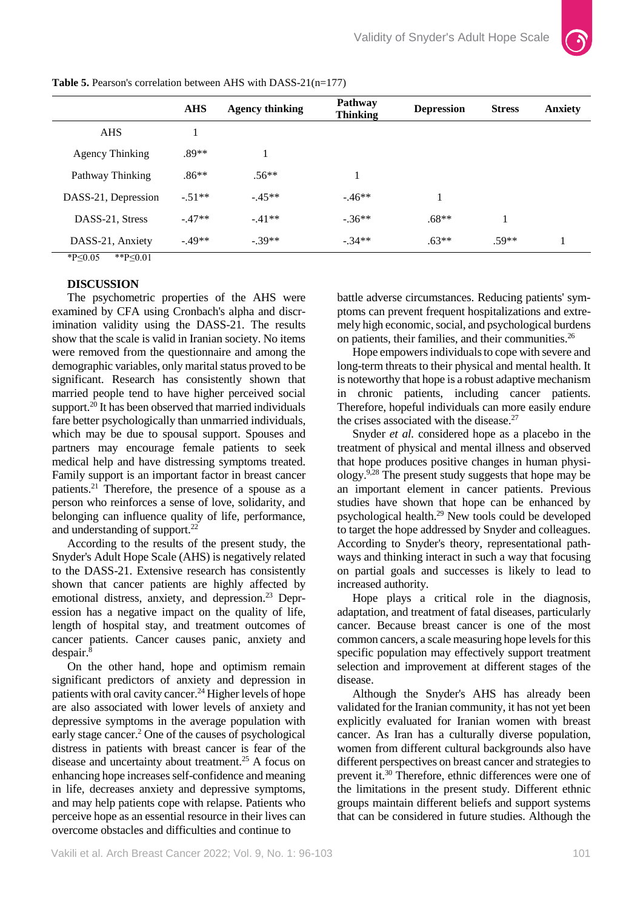

|                     | <b>AHS</b> | <b>Agency thinking</b> | <b>Pathway</b><br><b>Thinking</b> | <b>Depression</b> | <b>Stress</b> | <b>Anxiety</b> |
|---------------------|------------|------------------------|-----------------------------------|-------------------|---------------|----------------|
| <b>AHS</b>          |            |                        |                                   |                   |               |                |
| Agency Thinking     | $.89**$    |                        |                                   |                   |               |                |
| Pathway Thinking    | $.86**$    | $.56**$                | 1                                 |                   |               |                |
| DASS-21, Depression | $-51**$    | $-45**$                | $-46**$                           |                   |               |                |
| DASS-21, Stress     | $-.47**$   | $-.41**$               | $-.36**$                          | $.68**$           |               |                |
| DASS-21, Anxiety    | $-49**$    | $-.39**$               | $-.34**$                          | $.63**$           | $.59**$       |                |

**Table 5.** Pearson's correlation between AHS with DASS-21(n=177)

\*P≤0.05 \*\*P≤0.01

### **DISCUSSION**

The psychometric properties of the AHS were examined by CFA using Cronbach's alpha and discrimination validity using the DASS-21. The results show that the scale is valid in Iranian society. No items were removed from the questionnaire and among the demographic variables, only marital status proved to be significant. Research has consistently shown that married people tend to have higher perceived social support.<sup>20</sup> It has been observed that married individuals fare better psychologically than unmarried individuals, which may be due to spousal support. Spouses and partners may encourage female patients to seek medical help and have distressing symptoms treated. Family support is an important factor in breast cancer patients.21 Therefore, the presence of a spouse as a person who reinforces a sense of love, solidarity, and belonging can influence quality of life, performance, and understanding of support.<sup>22</sup>

According to the results of the present study, the Snyder's Adult Hope Scale (AHS) is negatively related to the DASS-21. Extensive research has consistently shown that cancer patients are highly affected by emotional distress, anxiety, and depression.<sup>23</sup> Depression has a negative impact on the quality of life, length of hospital stay, and treatment outcomes of cancer patients. Cancer causes panic, anxiety and despair.8

On the other hand, hope and optimism remain significant predictors of anxiety and depression in patients with oral cavity cancer.<sup>24</sup> Higher levels of hope are also associated with lower levels of anxiety and depressive symptoms in the average population with early stage cancer.2 One of the causes of psychological distress in patients with breast cancer is fear of the disease and uncertainty about treatment.25 A focus on enhancing hope increases self-confidence and meaning in life, decreases anxiety and depressive symptoms, and may help patients cope with relapse. Patients who perceive hope as an essential resource in their lives can overcome obstacles and difficulties and continue to

battle adverse circumstances. Reducing patients' symptoms can prevent frequent hospitalizations and extremely high economic, social, and psychological burdens on patients, their families, and their communities.26

Hope empowers individuals to cope with severe and long-term threats to their physical and mental health. It is noteworthy that hope is a robust adaptive mechanism in chronic patients, including cancer patients. Therefore, hopeful individuals can more easily endure the crises associated with the disease.<sup>27</sup>

Snyder *et al.* considered hope as a placebo in the treatment of physical and mental illness and observed that hope produces positive changes in human physiology.9,28 The present study suggests that hope may be an important element in cancer patients. Previous studies have shown that hope can be enhanced by psychological health.29 New tools could be developed to target the hope addressed by Snyder and colleagues. According to Snyder's theory, representational pathways and thinking interact in such a way that focusing on partial goals and successes is likely to lead to increased authority.

Hope plays a critical role in the diagnosis, adaptation, and treatment of fatal diseases, particularly cancer. Because breast cancer is one of the most common cancers, a scale measuring hope levels for this specific population may effectively support treatment selection and improvement at different stages of the disease.

Although the Snyder's AHS has already been validated for the Iranian community, it has not yet been explicitly evaluated for Iranian women with breast cancer. As Iran has a culturally diverse population, women from different cultural backgrounds also have different perspectives on breast cancer and strategies to prevent it.30 Therefore, ethnic differences were one of the limitations in the present study. Different ethnic groups maintain different beliefs and support systems that can be considered in future studies. Although the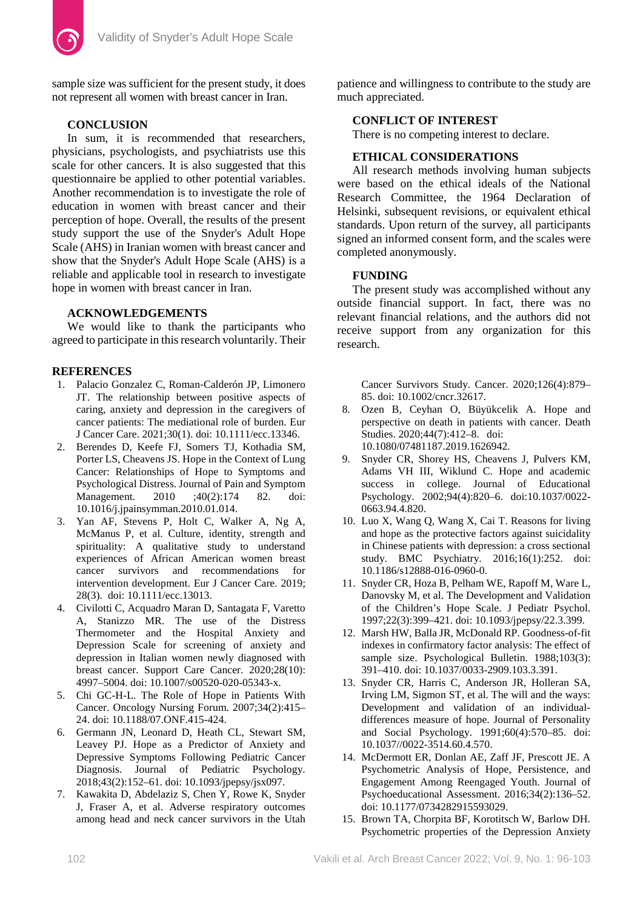

sample size was sufficient for the present study, it does not represent all women with breast cancer in Iran.

# **CONCLUSION**

In sum, it is recommended that researchers, physicians, psychologists, and psychiatrists use this scale for other cancers. It is also suggested that this questionnaire be applied to other potential variables. Another recommendation is to investigate the role of education in women with breast cancer and their perception of hope. Overall, the results of the present study support the use of the Snyder's Adult Hope Scale (AHS) in Iranian women with breast cancer and show that the Snyder's Adult Hope Scale (AHS) is a reliable and applicable tool in research to investigate hope in women with breast cancer in Iran.

# **ACKNOWLEDGEMENTS**

We would like to thank the participants who agreed to participate in this research voluntarily. Their

# **REFERENCES**

- 1. Palacio Gonzalez C, Roman‐Calderón JP, Limonero JT. The relationship between positive aspects of caring, anxiety and depression in the caregivers of cancer patients: The mediational role of burden. Eur J Cancer Care. 2021;30(1). doi: 10.1111/ecc.13346.
- 2. Berendes D, Keefe FJ, Somers TJ, Kothadia SM, Porter LS, Cheavens JS. Hope in the Context of Lung Cancer: Relationships of Hope to Symptoms and Psychological Distress. Journal of Pain and Symptom Management. 2010 ;40(2):174 82. doi: 10.1016/j.jpainsymman.2010.01.014.
- 3. Yan AF, Stevens P, Holt C, Walker A, Ng A, McManus P, et al. Culture, identity, strength and spirituality: A qualitative study to understand experiences of African American women breast cancer survivors and recommendations for intervention development. Eur J Cancer Care. 2019; 28(3). doi: 10.1111/ecc.13013.
- 4. Civilotti C, Acquadro Maran D, Santagata F, Varetto A, Stanizzo MR. The use of the Distress Thermometer and the Hospital Anxiety and Depression Scale for screening of anxiety and depression in Italian women newly diagnosed with breast cancer. Support Care Cancer. 2020;28(10): 4997–5004. doi: 10.1007/s00520-020-05343-x.
- 5. Chi GC-H-L. The Role of Hope in Patients With Cancer. Oncology Nursing Forum. 2007;34(2):415– 24. doi: 10.1188/07.ONF.415-424.
- 6. Germann JN, Leonard D, Heath CL, Stewart SM, Leavey PJ. Hope as a Predictor of Anxiety and Depressive Symptoms Following Pediatric Cancer Diagnosis. Journal of Pediatric Psychology. 2018;43(2):152–61. doi: 10.1093/jpepsy/jsx097.
- 7. Kawakita D, Abdelaziz S, Chen Y, Rowe K, Snyder J, Fraser A, et al. Adverse respiratory outcomes among head and neck cancer survivors in the Utah

patience and willingness to contribute to the study are much appreciated.

# **CONFLICT OF INTEREST**

There is no competing interest to declare.

# **ETHICAL CONSIDERATIONS**

All research methods involving human subjects were based on the ethical ideals of the National Research Committee, the 1964 Declaration of Helsinki, subsequent revisions, or equivalent ethical standards. Upon return of the survey, all participants signed an informed consent form, and the scales were completed anonymously.

# **FUNDING**

The present study was accomplished without any outside financial support. In fact, there was no relevant financial relations, and the authors did not receive support from any organization for this research.

Cancer Survivors Study. Cancer. 2020;126(4):879– 85. doi: 10.1002/cncr.32617.

- 8. Ozen B, Ceyhan O, Büyükcelik A. Hope and perspective on death in patients with cancer. Death Studies. 2020;44(7):412–8. doi: 10.1080/07481187.2019.1626942.
- 9. Snyder CR, Shorey HS, Cheavens J, Pulvers KM, Adams VH III, Wiklund C. Hope and academic success in college. Journal of Educational Psychology. 2002;94(4):820–6. doi:10.1037/0022- 0663.94.4.820.
- 10. Luo X, Wang Q, Wang X, Cai T. Reasons for living and hope as the protective factors against suicidality in Chinese patients with depression: a cross sectional study. BMC Psychiatry. 2016;16(1):252. doi: 10.1186/s12888-016-0960-0.
- 11. Snyder CR, Hoza B, Pelham WE, Rapoff M, Ware L, Danovsky M, et al. The Development and Validation of the Children's Hope Scale. J Pediatr Psychol. 1997;22(3):399–421. doi: 10.1093/jpepsy/22.3.399.
- 12. Marsh HW, Balla JR, McDonald RP. Goodness-of-fit indexes in confirmatory factor analysis: The effect of sample size. Psychological Bulletin. 1988;103(3): 391–410. doi: 10.1037/0033-2909.103.3.391.
- 13. Snyder CR, Harris C, Anderson JR, Holleran SA, Irving LM, Sigmon ST, et al. The will and the ways: Development and validation of an individualdifferences measure of hope. Journal of Personality and Social Psychology. 1991;60(4):570–85. doi: 10.1037//0022-3514.60.4.570.
- 14. McDermott ER, Donlan AE, Zaff JF, Prescott JE. A Psychometric Analysis of Hope, Persistence, and Engagement Among Reengaged Youth. Journal of Psychoeducational Assessment. 2016;34(2):136–52. doi: 10.1177/0734282915593029.
- 15. Brown TA, Chorpita BF, Korotitsch W, Barlow DH. Psychometric properties of the Depression Anxiety